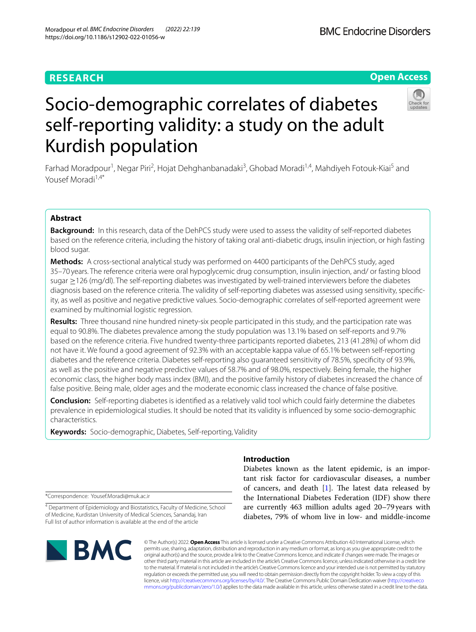Kurdish population

# **RESEARCH**



# Socio-demographic correlates of diabetes self-reporting validity: a study on the adult

Farhad Moradpour<sup>1</sup>, Negar Piri<sup>2</sup>, Hojat Dehghanbanadaki<sup>3</sup>, Ghobad Moradi<sup>1,4</sup>, Mahdiyeh Fotouk-Kiai<sup>5</sup> and Yousef Moradi<sup>1,4\*</sup>

# **Abstract**

**Background:** In this research, data of the DehPCS study were used to assess the validity of self-reported diabetes based on the reference criteria, including the history of taking oral anti-diabetic drugs, insulin injection, or high fasting blood sugar.

**Methods:** A cross-sectional analytical study was performed on 4400 participants of the DehPCS study, aged 35–70 years. The reference criteria were oral hypoglycemic drug consumption, insulin injection, and/ or fasting blood sugar ≥126 (mg/dl). The self-reporting diabetes was investigated by well-trained interviewers before the diabetes diagnosis based on the reference criteria. The validity of self-reporting diabetes was assessed using sensitivity, specifc‑ ity, as well as positive and negative predictive values. Socio-demographic correlates of self-reported agreement were examined by multinomial logistic regression.

**Results:** Three thousand nine hundred ninety-six people participated in this study, and the participation rate was equal to 90.8%. The diabetes prevalence among the study population was 13.1% based on self-reports and 9.7% based on the reference criteria. Five hundred twenty-three participants reported diabetes, 213 (41.28%) of whom did not have it. We found a good agreement of 92.3% with an acceptable kappa value of 65.1% between self-reporting diabetes and the reference criteria. Diabetes self-reporting also guaranteed sensitivity of 78.5%, specifcity of 93.9%, as well as the positive and negative predictive values of 58.7% and of 98.0%, respectively. Being female, the higher economic class, the higher body mass index (BMI), and the positive family history of diabetes increased the chance of false positive. Being male, older ages and the moderate economic class increased the chance of false positive.

**Conclusion:** Self-reporting diabetes is identifed as a relatively valid tool which could fairly determine the diabetes prevalence in epidemiological studies. It should be noted that its validity is infuenced by some socio-demographic characteristics.

**Keywords:** Socio-demographic, Diabetes, Self-reporting, Validity

## **Introduction**

Diabetes known as the latent epidemic, is an important risk factor for cardiovascular diseases, a number of cancers, and death  $[1]$  $[1]$ . The latest data released by the International Diabetes Federation (IDF) show there are currently 463 million adults aged 20–79 years with diabetes, 79% of whom live in low- and middle-income

\*Correspondence: Yousef.Moradi@muk.ac.ir

<sup>4</sup> Department of Epidemiology and Biostatistics, Faculty of Medicine, School of Medicine, Kurdistan University of Medical Sciences, Sanandaj, Iran Full list of author information is available at the end of the article



© The Author(s) 2022. **Open Access** This article is licensed under a Creative Commons Attribution 4.0 International License, which permits use, sharing, adaptation, distribution and reproduction in any medium or format, as long as you give appropriate credit to the original author(s) and the source, provide a link to the Creative Commons licence, and indicate if changes were made. The images or other third party material in this article are included in the article's Creative Commons licence, unless indicated otherwise in a credit line to the material. If material is not included in the article's Creative Commons licence and your intended use is not permitted by statutory regulation or exceeds the permitted use, you will need to obtain permission directly from the copyright holder. To view a copy of this licence, visit [http://creativecommons.org/licenses/by/4.0/.](http://creativecommons.org/licenses/by/4.0/) The Creative Commons Public Domain Dedication waiver ([http://creativeco](http://creativecommons.org/publicdomain/zero/1.0/) [mmons.org/publicdomain/zero/1.0/](http://creativecommons.org/publicdomain/zero/1.0/)) applies to the data made available in this article, unless otherwise stated in a credit line to the data.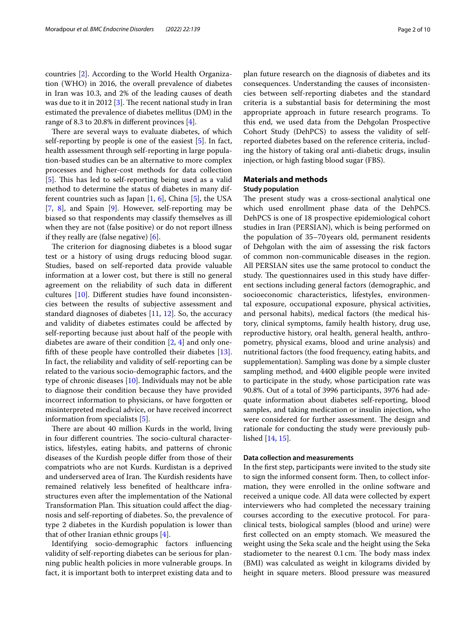countries [\[2](#page-8-1)]. According to the World Health Organization (WHO) in 2016, the overall prevalence of diabetes in Iran was 10.3, and 2% of the leading causes of death was due to it in 2012 [\[3](#page-8-2)]. The recent national study in Iran estimated the prevalence of diabetes mellitus (DM) in the range of 8.3 to 20.8% in diferent provinces [[4\]](#page-8-3).

There are several ways to evaluate diabetes, of which self-reporting by people is one of the easiest [[5\]](#page-8-4). In fact, health assessment through self-reporting in large population-based studies can be an alternative to more complex processes and higher-cost methods for data collection [[5\]](#page-8-4). This has led to self-reporting being used as a valid method to determine the status of diabetes in many different countries such as Japan  $[1, 6]$  $[1, 6]$  $[1, 6]$  $[1, 6]$ , China  $[5]$  $[5]$ , the USA [[7,](#page-8-6) [8\]](#page-8-7), and Spain [[9\]](#page-8-8). However, self-reporting may be biased so that respondents may classify themselves as ill when they are not (false positive) or do not report illness if they really are (false negative) [[6\]](#page-8-5).

The criterion for diagnosing diabetes is a blood sugar test or a history of using drugs reducing blood sugar. Studies, based on self-reported data provide valuable information at a lower cost, but there is still no general agreement on the reliability of such data in diferent cultures [[10\]](#page-8-9). Diferent studies have found inconsistencies between the results of subjective assessment and standard diagnoses of diabetes [[11](#page-8-10), [12](#page-8-11)]. So, the accuracy and validity of diabetes estimates could be afected by self-reporting because just about half of the people with diabetes are aware of their condition [\[2,](#page-8-1) [4\]](#page-8-3) and only oneffth of these people have controlled their diabetes [\[13](#page-8-12)]. In fact, the reliability and validity of self-reporting can be related to the various socio-demographic factors, and the type of chronic diseases [\[10\]](#page-8-9). Individuals may not be able to diagnose their condition because they have provided incorrect information to physicians, or have forgotten or misinterpreted medical advice, or have received incorrect information from specialists [[5](#page-8-4)].

There are about 40 million Kurds in the world, living in four different countries. The socio-cultural characteristics, lifestyles, eating habits, and patterns of chronic diseases of the Kurdish people difer from those of their compatriots who are not Kurds. Kurdistan is a deprived and underserved area of Iran. The Kurdish residents have remained relatively less benefted of healthcare infrastructures even after the implementation of the National Transformation Plan. This situation could affect the diagnosis and self-reporting of diabetes. So, the prevalence of type 2 diabetes in the Kurdish population is lower than that of other Iranian ethnic groups [\[4](#page-8-3)].

Identifying socio-demographic factors infuencing validity of self-reporting diabetes can be serious for planning public health policies in more vulnerable groups. In fact, it is important both to interpret existing data and to plan future research on the diagnosis of diabetes and its consequences. Understanding the causes of inconsistencies between self-reporting diabetes and the standard criteria is a substantial basis for determining the most appropriate approach in future research programs. To this end, we used data from the Dehgolan Prospective Cohort Study (DehPCS) to assess the validity of selfreported diabetes based on the reference criteria, including the history of taking oral anti-diabetic drugs, insulin injection, or high fasting blood sugar (FBS).

## **Materials and methods**

## **Study population**

The present study was a cross-sectional analytical one which used enrollment phase data of the DehPCS. DehPCS is one of 18 prospective epidemiological cohort studies in Iran (PERSIAN), which is being performed on the population of 35–70years old, permanent residents of Dehgolan with the aim of assessing the risk factors of common non-communicable diseases in the region. All PERSIAN sites use the same protocol to conduct the study. The questionnaires used in this study have different sections including general factors (demographic, and socioeconomic characteristics, lifestyles, environmental exposure, occupational exposure, physical activities, and personal habits), medical factors (the medical history, clinical symptoms, family health history, drug use, reproductive history, oral health, general health, anthropometry, physical exams, blood and urine analysis) and nutritional factors (the food frequency, eating habits, and supplementation). Sampling was done by a simple cluster sampling method, and 4400 eligible people were invited to participate in the study, whose participation rate was 90.8%. Out of a total of 3996 participants, 3976 had adequate information about diabetes self-reporting, blood samples, and taking medication or insulin injection, who were considered for further assessment. The design and rationale for conducting the study were previously published [\[14](#page-8-13), [15\]](#page-8-14).

## **Data collection and measurements**

In the frst step, participants were invited to the study site to sign the informed consent form. Then, to collect information, they were enrolled in the online software and received a unique code. All data were collected by expert interviewers who had completed the necessary training courses according to the executive protocol. For paraclinical tests, biological samples (blood and urine) were frst collected on an empty stomach. We measured the weight using the Seka scale and the height using the Seka stadiometer to the nearest 0.1 cm. The body mass index (BMI) was calculated as weight in kilograms divided by height in square meters. Blood pressure was measured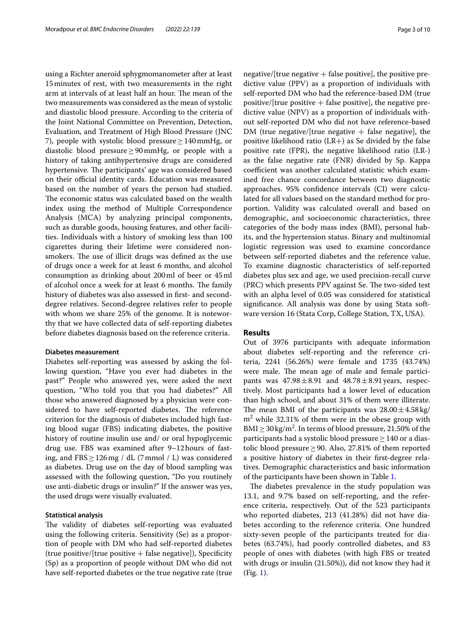using a Richter aneroid sphygmomanometer after at least 15minutes of rest, with two measurements in the right arm at intervals of at least half an hour. The mean of the two measurements was considered as the mean of systolic and diastolic blood pressure. According to the criteria of the Joint National Committee on Prevention, Detection, Evaluation, and Treatment of High Blood Pressure (JNC 7), people with systolic blood pressure≥140mmHg, or diastolic blood pressure≥90mmHg, or people with a history of taking antihypertensive drugs are considered hypertensive. The participants' age was considered based on their official identity cards. Education was measured based on the number of years the person had studied. The economic status was calculated based on the wealth index using the method of Multiple Correspondence Analysis (MCA) by analyzing principal components, such as durable goods, housing features, and other facilities. Individuals with a history of smoking less than 100 cigarettes during their lifetime were considered nonsmokers. The use of illicit drugs was defined as the use of drugs once a week for at least 6 months, and alcohol consumption as drinking about 200ml of beer or 45ml of alcohol once a week for at least 6 months. The family history of diabetes was also assessed in first- and seconddegree relatives. Second-degree relatives refer to people with whom we share 25% of the genome. It is noteworthy that we have collected data of self-reporting diabetes before diabetes diagnosis based on the reference criteria.

## **Diabetes measurement**

Diabetes self-reporting was assessed by asking the following question, "Have you ever had diabetes in the past?" People who answered yes, were asked the next question, "Who told you that you had diabetes?" All those who answered diagnosed by a physician were considered to have self-reported diabetes. The reference criterion for the diagnosis of diabetes included high fasting blood sugar (FBS) indicating diabetes, the positive history of routine insulin use and/ or oral hypoglycemic drug use. FBS was examined after 9–12hours of fasting, and  $FBS \geq 126$  mg / dL (7 mmol / L) was considered as diabetes. Drug use on the day of blood sampling was assessed with the following question, "Do you routinely use anti-diabetic drugs or insulin?" If the answer was yes, the used drugs were visually evaluated.

## **Statistical analysis**

The validity of diabetes self-reporting was evaluated using the following criteria. Sensitivity (Se) as a proportion of people with DM who had self-reported diabetes  $(true positive/[true positive + false negative])$ , Specificity (Sp) as a proportion of people without DM who did not have self-reported diabetes or the true negative rate (true negative/[true negative  $+$  false positive], the positive predictive value (PPV) as a proportion of individuals with self-reported DM who had the reference-based DM (true positive/[true positive  $+$  false positive], the negative predictive value (NPV) as a proportion of individuals without self-reported DM who did not have reference-based DM (true negative/[true negative  $+$  false negative], the positive likelihood ratio  $(LR+)$  as Se divided by the false positive rate (FPR), the negative likelihood ratio (LR-) as the false negative rate (FNR) divided by Sp. Kappa coefficient was another calculated statistic which examined free chance concordance between two diagnostic approaches. 95% confdence intervals (CI) were calculated for all values based on the standard method for proportion. Validity was calculated overall and based on demographic, and socioeconomic characteristics, three categories of the body mass index (BMI), personal habits, and the hypertension status. Binary and multinomial logistic regression was used to examine concordance between self-reported diabetes and the reference value. To examine diagnostic characteristics of self-reported diabetes plus sex and age, we used precision-recall curve (PRC) which presents PPV against Se. The two-sided test with an alpha level of 0.05 was considered for statistical signifcance. All analysis was done by using Stata software version 16 (Stata Corp, College Station, TX, USA).

## **Results**

Out of 3976 participants with adequate information about diabetes self-reporting and the reference criteria, 2241 (56.26%) were female and 1735 (43.74%) were male. The mean age of male and female participants was  $47.98 \pm 8.91$  and  $48.78 \pm 8.91$  years, respectively. Most participants had a lower level of education than high school, and about 31% of them were illiterate. The mean BMI of the participants was  $28.00 \pm 4.58$  kg/  $m<sup>2</sup>$  while 32.31% of them were in the obese group with BMI  $\geq$  30 kg/m<sup>2</sup>. In terms of blood pressure, 21.50% of the participants had a systolic blood pressure≥140 or a diastolic blood pressure ≥ 90. Also, 27.81% of them reported a positive history of diabetes in their frst-degree relatives. Demographic characteristics and basic information of the participants have been shown in Table [1.](#page-3-0)

The diabetes prevalence in the study population was 13.1, and 9.7% based on self-reporting, and the reference criteria, respectively. Out of the 523 participants who reported diabetes, 213 (41.28%) did not have diabetes according to the reference criteria. One hundred sixty-seven people of the participants treated for diabetes (63.74%), had poorly controlled diabetes, and 83 people of ones with diabetes (with high FBS or treated with drugs or insulin (21.50%)), did not know they had it (Fig. [1\)](#page-4-0).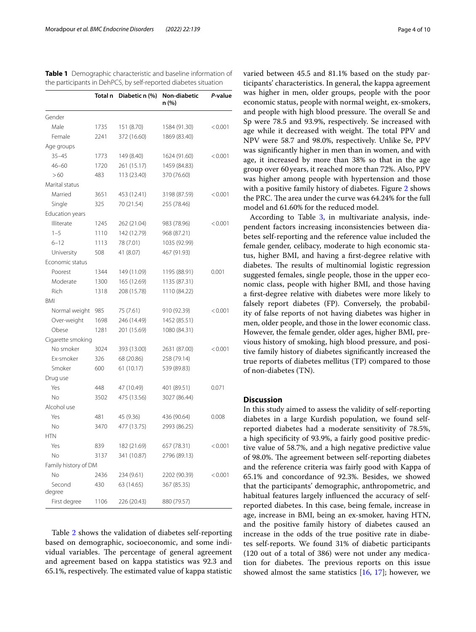|                      | Total n | Diabetic n (%) | Non-diabetic<br>n (%) | P-value |
|----------------------|---------|----------------|-----------------------|---------|
| Gender               |         |                |                       |         |
| Male                 | 1735    | 151 (8.70)     | 1584 (91.30)          | < 0.001 |
| Female               | 2241    | 372 (16.60)    | 1869 (83.40)          |         |
| Age groups           |         |                |                       |         |
| $35 - 45$            | 1773    | 149 (8.40)     | 1624 (91.60)          | < 0.001 |
| $46 - 60$            | 1720    | 261 (15.17)    | 1459 (84.83)          |         |
| >60                  | 483     | 113 (23.40)    | 370 (76.60)           |         |
| Marital status       |         |                |                       |         |
| Married              | 3651    | 453 (12.41)    | 3198 (87.59)          | < 0.001 |
| Single               | 325     | 70 (21.54)     | 255 (78.46)           |         |
| Education years      |         |                |                       |         |
| Illiterate           | 1245    | 262 (21.04)    | 983 (78.96)           | < 0.001 |
| $1 - 5$              | 1110    | 142 (12.79)    | 968 (87.21)           |         |
| $6 - 12$             | 1113    | 78 (7.01)      | 1035 (92.99)          |         |
| University           | 508     | 41 (8.07)      | 467 (91.93)           |         |
| Economic status      |         |                |                       |         |
| Poorest              | 1344    | 149 (11.09)    | 1195 (88.91)          | 0.001   |
| Moderate             | 1300    | 165 (12.69)    | 1135 (87.31)          |         |
| Rich                 | 1318    | 208 (15.78)    | 1110 (84.22)          |         |
| BMI                  |         |                |                       |         |
| Normal weight        | 985     | 75 (7.61)      | 910 (92.39)           | < 0.001 |
| Over-weight          | 1698    | 246 (14.49)    | 1452 (85.51)          |         |
| Obese                | 1281    | 201 (15.69)    | 1080 (84.31)          |         |
| Cigarette smoking    |         |                |                       |         |
| No smoker            | 3024    | 393 (13.00)    | 2631 (87.00)          | < 0.001 |
| Ex-smoker            | 326     | 68 (20.86)     | 258 (79.14)           |         |
| Smoker               | 600     | 61 (10.17)     | 539 (89.83)           |         |
| Drug use             |         |                |                       |         |
| Yes                  | 448     | 47 (10.49)     | 401 (89.51)           | 0.071   |
| <b>No</b>            | 3502    | 475 (13.56)    | 3027 (86.44)          |         |
| Alcohol use          |         |                |                       |         |
| Yes                  | 481     | 45 (9.36)      | 436 (90.64)           | 0.008   |
| No                   | 3470    | 477 (13.75)    | 2993 (86.25)          |         |
| <b>HTN</b>           |         |                |                       |         |
| Yes                  | 839     | 182 (21.69)    | 657 (78.31)           | < 0.001 |
| No                   | 3137    | 341 (10.87)    | 2796 (89.13)          |         |
| Family history of DM |         |                |                       |         |
| No                   | 2436    | 234 (9.61)     | 2202 (90.39)          | < 0.001 |
| Second<br>degree     | 430     | 63 (14.65)     | 367 (85.35)           |         |
| First degree         | 1106    | 226 (20.43)    | 880 (79.57)           |         |

<span id="page-3-0"></span>**Table 1** Demographic characteristic and baseline information of the participants in DehPCS, by self-reported diabetes situation

Table [2](#page-5-0) shows the validation of diabetes self-reporting based on demographic, socioeconomic, and some individual variables. The percentage of general agreement and agreement based on kappa statistics was 92.3 and 65.1%, respectively. The estimated value of kappa statistic varied between 45.5 and 81.1% based on the study participants' characteristics. In general, the kappa agreement was higher in men, older groups, people with the poor economic status, people with normal weight, ex-smokers, and people with high blood pressure. The overall Se and Sp were 78.5 and 93.9%, respectively. Se increased with age while it decreased with weight. The total PPV and NPV were 58.7 and 98.0%, respectively. Unlike Se, PPV was signifcantly higher in men than in women, and with age, it increased by more than 38% so that in the age group over 60years, it reached more than 72%. Also, PPV was higher among people with hypertension and those with a positive family history of diabetes. Figure [2](#page-6-0) shows the PRC. The area under the curve was 64.24% for the full model and 61.60% for the reduced model.

According to Table [3,](#page-7-0) in multivariate analysis, independent factors increasing inconsistencies between diabetes self-reporting and the reference value included the female gender, celibacy, moderate to high economic status, higher BMI, and having a frst-degree relative with diabetes. The results of multinomial logistic regression suggested females, single people, those in the upper economic class, people with higher BMI, and those having a frst-degree relative with diabetes were more likely to falsely report diabetes (FP). Conversely, the probability of false reports of not having diabetes was higher in men, older people, and those in the lower economic class. However, the female gender, older ages, higher BMI, previous history of smoking, high blood pressure, and positive family history of diabetes signifcantly increased the true reports of diabetes mellitus (TP) compared to those of non-diabetes (TN).

## **Discussion**

In this study aimed to assess the validity of self-reporting diabetes in a large Kurdish population, we found selfreported diabetes had a moderate sensitivity of 78.5%, a high specifcity of 93.9%, a fairly good positive predictive value of 58.7%, and a high negative predictive value of 98.0%. The agreement between self-reporting diabetes and the reference criteria was fairly good with Kappa of 65.1% and concordance of 92.3%. Besides, we showed that the participants' demographic, anthropometric, and habitual features largely infuenced the accuracy of selfreported diabetes. In this case, being female, increase in age, increase in BMI, being an ex-smoker, having HTN, and the positive family history of diabetes caused an increase in the odds of the true positive rate in diabetes self-reports. We found 31% of diabetic participants (120 out of a total of 386) were not under any medication for diabetes. The previous reports on this issue showed almost the same statistics [\[16,](#page-8-15) [17\]](#page-8-16); however, we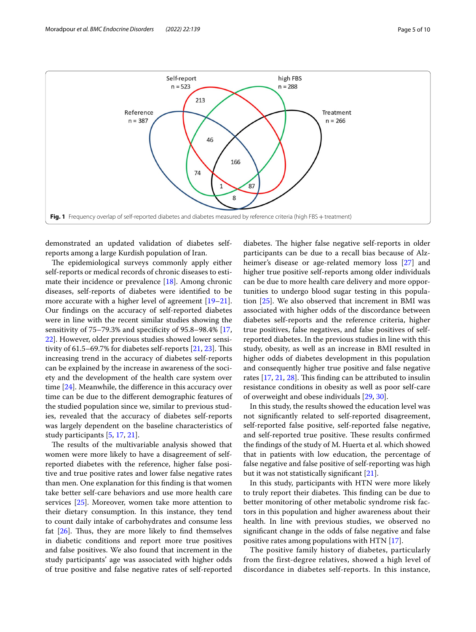

<span id="page-4-0"></span>demonstrated an updated validation of diabetes selfreports among a large Kurdish population of Iran.

The epidemiological surveys commonly apply either self-reports or medical records of chronic diseases to estimate their incidence or prevalence [\[18](#page-8-17)]. Among chronic diseases, self-reports of diabetes were identifed to be more accurate with a higher level of agreement [[19](#page-8-18)[–21](#page-8-19)]. Our fndings on the accuracy of self-reported diabetes were in line with the recent similar studies showing the sensitivity of 75–79.3% and specifcity of 95.8–98.4% [\[17](#page-8-16), [22\]](#page-9-0). However, older previous studies showed lower sensitivity of  $61.5-69.7\%$  for diabetes self-reports  $[21, 23]$  $[21, 23]$  $[21, 23]$ . This increasing trend in the accuracy of diabetes self-reports can be explained by the increase in awareness of the society and the development of the health care system over time [[24\]](#page-9-2). Meanwhile, the diference in this accuracy over time can be due to the diferent demographic features of the studied population since we, similar to previous studies, revealed that the accuracy of diabetes self-reports was largely dependent on the baseline characteristics of study participants [[5](#page-8-4), [17,](#page-8-16) [21](#page-8-19)].

The results of the multivariable analysis showed that women were more likely to have a disagreement of selfreported diabetes with the reference, higher false positive and true positive rates and lower false negative rates than men. One explanation for this fnding is that women take better self-care behaviors and use more health care services [\[25\]](#page-9-3). Moreover, women take more attention to their dietary consumption. In this instance, they tend to count daily intake of carbohydrates and consume less fat  $[26]$  $[26]$ . Thus, they are more likely to find themselves in diabetic conditions and report more true positives and false positives. We also found that increment in the study participants' age was associated with higher odds of true positive and false negative rates of self-reported diabetes. The higher false negative self-reports in older participants can be due to a recall bias because of Alzheimer's disease or age-related memory loss [\[27](#page-9-5)] and higher true positive self-reports among older individuals can be due to more health care delivery and more opportunities to undergo blood sugar testing in this population [[25\]](#page-9-3). We also observed that increment in BMI was associated with higher odds of the discordance between diabetes self-reports and the reference criteria, higher true positives, false negatives, and false positives of selfreported diabetes. In the previous studies in line with this study, obesity, as well as an increase in BMI resulted in higher odds of diabetes development in this population and consequently higher true positive and false negative rates  $[17, 21, 28]$  $[17, 21, 28]$  $[17, 21, 28]$  $[17, 21, 28]$  $[17, 21, 28]$ . This finding can be attributed to insulin resistance conditions in obesity as well as poor self-care of overweight and obese individuals [\[29](#page-9-7), [30\]](#page-9-8).

In this study, the results showed the education level was not signifcantly related to self-reported disagreement, self-reported false positive, self-reported false negative, and self-reported true positive. These results confirmed the fndings of the study of M. Huerta et al. which showed that in patients with low education, the percentage of false negative and false positive of self-reporting was high but it was not statistically signifcant [[21](#page-8-19)].

In this study, participants with HTN were more likely to truly report their diabetes. This finding can be due to better monitoring of other metabolic syndrome risk factors in this population and higher awareness about their health. In line with previous studies, we observed no signifcant change in the odds of false negative and false positive rates among populations with HTN [[17](#page-8-16)].

The positive family history of diabetes, particularly from the first-degree relatives, showed a high level of discordance in diabetes self-reports. In this instance,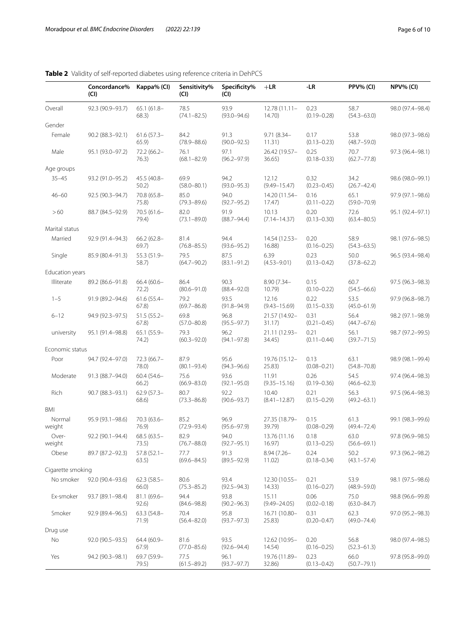|                   | Concordance%<br>(Cl)         | Kappa% (CI)            | Sensitivity%<br>(Cl)    | Specificity%<br>(CI)    | $+LR$                     | -LR                     | PPV% (CI)               | NPV% (CI)        |
|-------------------|------------------------------|------------------------|-------------------------|-------------------------|---------------------------|-------------------------|-------------------------|------------------|
| Overall           | 92.3 (90.9-93.7)             | $65.1(61.8 -$<br>68.3) | 78.5<br>$(74.1 - 82.5)$ | 93.9<br>$(93.0 - 94.6)$ | $12.78(11.11 -$<br>14.70  | 0.23<br>$(0.19 - 0.28)$ | 58.7<br>$(54.3 - 63.0)$ | 98.0 (97.4-98.4) |
| Gender            |                              |                        |                         |                         |                           |                         |                         |                  |
| Female            | 90.2 (88.3-92.1)             | $61.6(57.3 -$<br>65.9) | 84.2<br>$(78.9 - 88.6)$ | 91.3<br>$(90.0 - 92.5)$ | $9.71(8.34 -$<br>11.31)   | 0.17<br>$(0.13 - 0.23)$ | 53.8<br>$(48.7 - 59.0)$ | 98.0 (97.3-98.6) |
| Male              | 95.1 (93.0-97.2)             | 72.2 (66.2-<br>76.3)   | 76.1<br>$(68.1 - 82.9)$ | 97.1<br>$(96.2 - 97.9)$ | 26.42 (19.57-<br>36.65)   | 0.25<br>$(0.18 - 0.33)$ | 70.7<br>$(62.7 - 77.8)$ | 97.3 (96.4-98.1) |
| Age groups        |                              |                        |                         |                         |                           |                         |                         |                  |
| $35 - 45$         | 93.2 (91.0-95.2)             | 45.5 (40.8-<br>50.2)   | 69.9<br>$(58.0 - 80.1)$ | 94.2<br>$(93.0 - 95.3)$ | 12.12<br>$(9.49 - 15.47)$ | 0.32<br>$(0.23 - 0.45)$ | 34.2<br>$(26.7 - 42.4)$ | 98.6 (98.0-99.1) |
| $46 - 60$         | 92.5 (90.3-94.7)             | 70.8 (65.8-<br>75.8)   | 85.0<br>$(79.3 - 89.6)$ | 94.0<br>$(92.7 - 95.2)$ | 14.20 (11.54-<br>17.47)   | 0.16<br>$(0.11 - 0.22)$ | 65.1<br>$(59.0 - 70.9)$ | 97.9 (97.1-98.6) |
| >60               | 88.7 (84.5-92.9)             | $70.5(61.6 -$<br>79.4) | 82.0<br>$(73.1 - 89.0)$ | 91.9<br>$(88.7 - 94.4)$ | 10.13<br>$(7.14 - 14.37)$ | 0.20<br>$(0.13 - 0.30)$ | 72.6<br>$(63.4 - 80.5)$ | 95.1 (92.4-97.1) |
| Marital status    |                              |                        |                         |                         |                           |                         |                         |                  |
| Married           | 92.9 (91.4-94.3)             | $66.2(62.8 -$<br>69.7) | 81.4<br>$(76.8 - 85.5)$ | 94.4<br>$(93.6 - 95.2)$ | 14.54 (12.53-<br>16.88    | 0.20<br>$(0.16 - 0.25)$ | 58.9<br>$(54.3 - 63.5)$ | 98.1 (97.6-98.5) |
| Single            | 85.9 (80.4-91.3)             | 55.3 (51.9-<br>58.7)   | 79.5<br>$(64.7 - 90.2)$ | 87.5<br>$(83.1 - 91.2)$ | 6.39<br>$(4.53 - 9.01)$   | 0.23<br>$(0.13 - 0.42)$ | 50.0<br>$(37.8 - 62.2)$ | 96.5 (93.4-98.4) |
| Education years   |                              |                        |                         |                         |                           |                         |                         |                  |
| Illiterate        | 89.2 (86.6-91.8)             | $66.4(60.6 -$<br>72.2) | 86.4<br>$(80.6 - 91.0)$ | 90.3<br>$(88.4 - 92.0)$ | 8.90 (7.34-<br>10.79      | 0.15<br>$(0.10 - 0.22)$ | 60.7<br>$(54.5 - 66.6)$ | 97.5 (96.3-98.3) |
| $1 - 5$           | 91.9 (89.2-94.6)             | $61.6(55.4 -$<br>67.8) | 79.2<br>$(69.7 - 86.8)$ | 93.5<br>$(91.8 - 94.9)$ | 12.16<br>$(9.43 - 15.69)$ | 0.22<br>$(0.15 - 0.33)$ | 53.5<br>$(45.0 - 61.9)$ | 97.9 (96.8-98.7) |
| $6 - 12$          | 94.9 (92.3-97.5)             | $51.5(55.2 -$<br>67.8) | 69.8<br>$(57.0 - 80.8)$ | 96.8<br>$(95.5 - 97.7)$ | 21.57 (14.92-<br>31.17)   | 0.31<br>$(0.21 - 0.45)$ | 56.4<br>$(44.7 - 67.6)$ | 98.2 (97.1-98.9) |
| university        | 95.1 (91.4-98.8)             | 65.1 (55.9-<br>74.2)   | 79.3<br>$(60.3 - 92.0)$ | 96.2<br>$(94.1 - 97.8)$ | 21.11 (12.93-<br>34.45)   | 0.21<br>$(0.11 - 0.44)$ | 56.1<br>$(39.7 - 71.5)$ | 98.7 (97.2-99.5) |
| Economic status   |                              |                        |                         |                         |                           |                         |                         |                  |
| Poor              | 94.7 (92.4-97.0)             | 72.3 (66.7-<br>78.0)   | 87.9<br>$(80.1 - 93.4)$ | 95.6<br>$(94.3 - 96.6)$ | 19.76 (15.12-<br>25.83)   | 0.13<br>$(0.08 - 0.21)$ | 63.1<br>$(54.8 - 70.8)$ | 98.9 (98.1-99.4) |
| Moderate          | 91.3 (88.7-94.0)             | $60.4(54.6 -$<br>66.2) | 75.6<br>$(66.9 - 83.0)$ | 93.6<br>$(92.1 - 95.0)$ | 11.91<br>$(9.35 - 15.16)$ | 0.26<br>$(0.19 - 0.36)$ | 54.5<br>$(46.6 - 62.3)$ | 97.4 (96.4-98.3) |
| Rich              | 90.7 (88.3-93.1)             | $62.9(57.3 -$<br>68.6) | 80.7<br>$(73.3 - 86.8)$ | 92.2<br>$(90.6 - 93.7)$ | 10.40<br>$(8.41 - 12.87)$ | 0.21<br>$(0.15 - 0.29)$ | 56.3<br>$(49.2 - 63.1)$ | 97.5 (96.4-98.3) |
| <b>BMI</b>        |                              |                        |                         |                         |                           |                         |                         |                  |
| Normal<br>weight  | 95.9 (93.1-98.6)             | $70.3(63.6 -$<br>76.9  | 85.2<br>$(72.9 - 93.4)$ | 96.9<br>$(95.6 - 97.9)$ | 27.35 (18.79-<br>39.79)   | 0.15<br>$(0.08 - 0.29)$ | 61.3<br>$(49.4 - 72.4)$ | 99.1 (98.3-99.6) |
| Over-<br>weight   | 92.2 (90.1-94.4) 68.5 (63.5- | 73.5)                  | 82.9<br>$(76.7 - 88.0)$ | 94.0<br>$(92.7 - 95.1)$ | 13.76 (11.16<br>16.97)    | 0.18<br>$(0.13 - 0.25)$ | 63.0<br>$(56.6 - 69.1)$ | 97.8 (96.9-98.5) |
| Obese             | 89.7 (87.2-92.3)             | $57.8(52.1 -$<br>63.5) | 77.7<br>$(69.6 - 84.5)$ | 91.3<br>$(89.5 - 92.9)$ | $8.94(7.26 -$<br>11.02)   | 0.24<br>$(0.18 - 0.34)$ | 50.2<br>$(43.1 - 57.4)$ | 97.3 (96.2-98.2) |
| Cigarette smoking |                              |                        |                         |                         |                           |                         |                         |                  |
| No smoker         | 92.0 (90.4-93.6)             | $62.3(58.5 -$<br>66.0) | 80.6<br>$(75.3 - 85.2)$ | 93.4<br>$(92.5 - 94.3)$ | 12.30 (10.55-<br>14.33)   | 0.21<br>$(0.16 - 0.27)$ | 53.9<br>$(48.9 - 59.0)$ | 98.1 (97.5-98.6) |
| Ex-smoker         | 93.7 (89.1-98.4)             | $81.1(69.6 -$<br>92.6) | 94.4<br>$(84.6 - 98.8)$ | 93.8<br>$(90.2 - 96.3)$ | 15.11<br>$(9.49 - 24.05)$ | 0.06<br>$(0.02 - 0.18)$ | 75.0<br>$(63.0 - 84.7)$ | 98.8 (96.6-99.8) |
| Smoker            | 92.9 (89.4-96.5)             | $63.3(54.8 -$<br>71.9) | 70.4<br>$(56.4 - 82.0)$ | 95.8<br>$(93.7 - 97.3)$ | 16.71 (10.80-<br>25.83)   | 0.31<br>$(0.20 - 0.47)$ | 62.3<br>$(49.0 - 74.4)$ | 97.0 (95.2-98.3) |
| Drug use          |                              |                        |                         |                         |                           |                         |                         |                  |
| No                | 92.0 (90.5-93.5)             | 64.4 (60.9-<br>67.9)   | 81.6<br>$(77.0 - 85.6)$ | 93.5<br>$(92.6 - 94.4)$ | 12.62 (10.95-<br>14.54)   | 0.20<br>$(0.16 - 0.25)$ | 56.8<br>$(52.3 - 61.3)$ | 98.0 (97.4-98.5) |
| Yes               | 94.2 (90.3-98.1)             | 69.7 (59.9-<br>79.5)   | 77.5<br>$(61.5 - 89.2)$ | 96.1<br>$(93.7 - 97.7)$ | 19.76 (11.89-<br>32.86)   | 0.23<br>$(0.13 - 0.42)$ | 66.0<br>$(50.7 - 79.1)$ | 97.8 (95.8-99.0) |

## <span id="page-5-0"></span>**Table 2** Validity of self-reported diabetes using reference criteria in DehPCS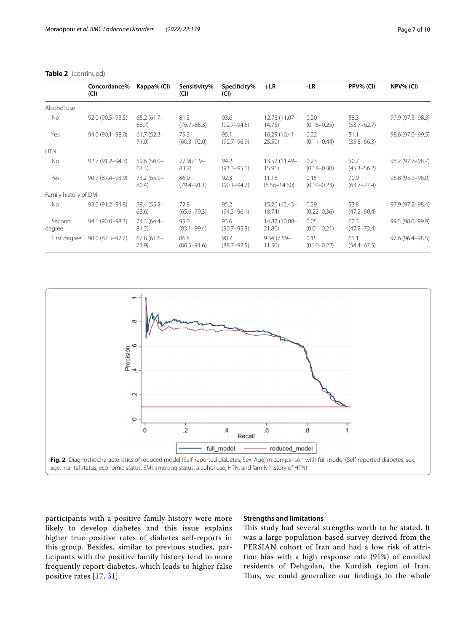|                      | Concordance%<br>(CI) | Kappa% (CI)            | Sensitivity%<br>(CI)    | Specificity%<br>(CI)    | $+LR$                     | -LR                     | PPV% (CI)               | NPV% (CI)        |
|----------------------|----------------------|------------------------|-------------------------|-------------------------|---------------------------|-------------------------|-------------------------|------------------|
| Alcohol use          |                      |                        |                         |                         |                           |                         |                         |                  |
| No.                  | $92.0(90.5 - 93.5)$  | $65.2(61.7 -$<br>68.7  | 81.3<br>$(76.7 - 85.3)$ | 93.6<br>$(92.7 - 94.5)$ | 12.78 (11.07-<br>14.75)   | 0.20<br>$(0.16 - 0.25)$ | 58.3<br>$(53.7 - 62.7)$ | 97.9 (97.3-98.3) |
| Yes                  | 94.0 (90.1-98.0)     | $61.7(52.3 -$<br>71.0) | 79.3<br>$(60.3 - 92.0)$ | 95.1<br>$(92.7 - 96.9)$ | $16.29(10.41 -$<br>25.50  | 0.22<br>$(0.11 - 0.44)$ | 51.1<br>$(35.8 - 66.3)$ | 98.6 (97.0-99.5) |
| <b>HTN</b>           |                      |                        |                         |                         |                           |                         |                         |                  |
| No                   | 92.7 (91.2-94.3)     | 59.6 (56.0-<br>63.3)   | 77.9)71.9-<br>83.2(     | 94.2<br>$(93.3 - 95.1)$ | 13.52 (11.49-<br>15.91)   | 0.23<br>$(0.18 - 0.30)$ | 50.7<br>$(45.3 - 56.2)$ | 98.2 (97.7-98.7) |
| Yes                  | 90.7 (87.4–93.9)     | 73.2 (65.9-<br>80.4)   | 86.0<br>$(79.4 - 91.1)$ | 92.3<br>$(90.1 - 94.2)$ | 11.18<br>$(8.56 - 14.60)$ | 0.15<br>$(0.10 - 0.23)$ | 70.9<br>$(63.7 - 77.4)$ | 96.8 (95.2-98.0) |
| Family history of DM |                      |                        |                         |                         |                           |                         |                         |                  |
| No.                  | 93.0 (91.2-94.8)     | $59.4(55.2 -$<br>63.6) | 72.8<br>$(65.6 - 79.3)$ | 95.2<br>$(94.3 - 96.1)$ | 15.26 (12.43-<br>18.74)   | 0.29<br>$(0.22 - 0.36)$ | 53.8<br>$(47.2 - 60.4)$ | 97.9 (97.2-98.4) |
| Second<br>degree     | 94.1 (90.0-98.3)     | 74.3 (64.4-<br>84.2)   | 95.0<br>$(83.1 - 99.4)$ | 93.6<br>$(90.7 - 95.8)$ | 14.82 (10.08-<br>21.80)   | 0.05<br>$(0.01 - 0.21)$ | 60.3<br>$(47.2 - 72.4)$ | 99.5 (98.0-99.9) |
| First degree         | 90.0 (87.3-92.7)     | $67.8(61.6 -$<br>73.9) | 86.8<br>$(80.5 - 91.6)$ | 90.7<br>$(88.7 - 92.5)$ | $9.34(7.59 -$<br>11.50)   | 0.15<br>$(0.10 - 0.22)$ | 61.1<br>$(54.4 - 67.5)$ | 97.6 (96.4-98.5) |

**Table 2** (continued)



<span id="page-6-0"></span>participants with a positive family history were more likely to develop diabetes and this issue explains higher true positive rates of diabetes self-reports in this group. Besides, similar to previous studies, participants with the positive family history tend to more frequently report diabetes, which leads to higher false positive rates [\[17](#page-8-16), [31\]](#page-9-9).

## **Strengths and limitations**

This study had several strengths worth to be stated. It was a large population-based survey derived from the PERSIAN cohort of Iran and had a low risk of attrition bias with a high response rate (91%) of enrolled residents of Dehgolan, the Kurdish region of Iran. Thus, we could generalize our findings to the whole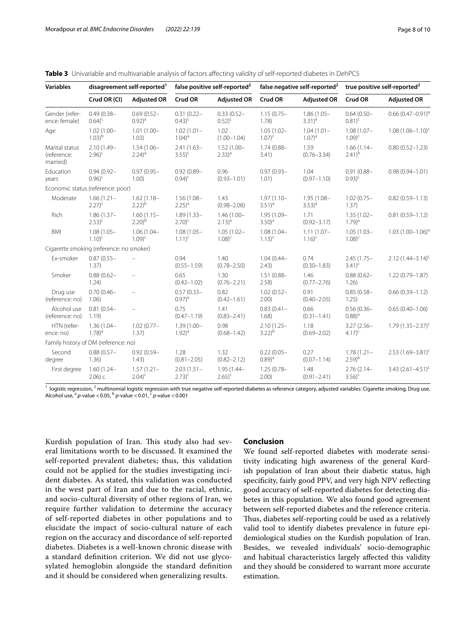<span id="page-7-0"></span>

|  |  |  |  |  |  |  | <b>Table 3</b> Univariable and multivariable analysis of factors affecting validity of self-reported diabetes in DehPCS |
|--|--|--|--|--|--|--|-------------------------------------------------------------------------------------------------------------------------|
|--|--|--|--|--|--|--|-------------------------------------------------------------------------------------------------------------------------|

| <b>Variables</b>                          | disagreement self-reported <sup>1</sup>              |                                       | false positive self-reported <sup>2</sup> |                                      |                                                   | false negative self-reported <sup>2</sup> | true positive self-reported <sup>2</sup> |                         |
|-------------------------------------------|------------------------------------------------------|---------------------------------------|-------------------------------------------|--------------------------------------|---------------------------------------------------|-------------------------------------------|------------------------------------------|-------------------------|
|                                           | Crud OR (CI)                                         | <b>Adjusted OR</b>                    | Crud OR                                   | <b>Adjusted OR</b>                   | Crud OR                                           | <b>Adjusted OR</b>                        | Crud OR                                  | <b>Adjusted OR</b>      |
| Gender (refer-<br>ence: female)           | $0.49(0.38 -$<br>$0.64$ <sup>(<math>c</math></sup> ) | $0.69(0.52 -$<br>$(0.92)^{a}$         | $0.31(0.22 -$<br>$(0.43)^{c}$             | $0.33(0.52 -$<br>$(0.52)^{c}$        | $1.15(0.75 -$<br>1.78)                            | $1.86(1.05 -$<br>$(3.31)^{a}$             | $0.64(0.50 -$<br>$(0.81)^c$              | $0.66$ $(0.47-0.91)^a$  |
| Age                                       | $1.02(1.00 -$<br>$1.03$ <sup>b</sup>                 | $1.01(1.00 -$<br>1.03)                | $1.02(1.01 -$<br>$1.04)^{a}$              | 1.02<br>$(1.00 - 1.04)$              | $1.05(1.02 -$<br>$1.07$ <sup>c</sup>              | $1.04(1.01 -$<br>$1.07)^{a}$              | $1.08(1.07 -$<br>$1.09$ <sup>c</sup>     | $1.08(1.06 - 1.10)^{c}$ |
| Marital status<br>(reference:<br>married) | $2.10(1.49 -$<br>$2.96$ <sup>c</sup>                 | $1.54(1.06 -$<br>$2.24)$ <sup>a</sup> | $2.41(1.63 -$<br>$3.55$ <sup>c</sup>      | $1.52(1.00 -$<br>$(2.33)^{a}$        | 1.59<br>$1.74(0.88 -$<br>$(0.76 - 3.34)$<br>3.41) |                                           | $1.66(1.14 -$<br>$(2.41)^{b}$            | $0.80(0.52 - 1.23)$     |
| Education<br>years                        | $0.94(0.92 -$<br>$0.96$ <sup>c</sup>                 | $0.97(0.95 -$<br>1.00)                | $0.92(0.89 -$<br>$(0.94)^c$               | 0.96<br>$(0.93 - 1.01)$              | $0.97(0.93 -$<br>1.01)                            | 1.04<br>$(0.97 - 1.10)$                   | $0.91(0.88 -$<br>$(0.93)^c$              | $0.98(0.94 - 1.01)$     |
|                                           | Economic status (reference: poor)                    |                                       |                                           |                                      |                                                   |                                           |                                          |                         |
| Moderate                                  | $1.66(1.21 -$<br>$2.27$ <sup>c</sup>                 | $1.62(1.18 -$<br>$2.22)^{b}$          | $1.56(1.08 -$<br>$2.25)^{a}$              | 1.43<br>$(0.98 - 2.08)$              | $1.97(1.10 -$<br>$(3.51)^{a}$                     | $1.95(1.08 -$<br>$(3.53)^{a}$             | $1.02(0.75 -$<br>1.37)                   | $0.82(0.59 - 1.13)$     |
| Rich                                      | $1.86(1.37 -$<br>$2.53$ <sup>c</sup>                 | $1.60(1.15 -$<br>2.20 <sup>b</sup>    | $1.89(1.33 -$<br>$2.70$ <sup>c</sup>      | $1.46(1.00 -$<br>$(2.13)^{a}$        | 1.95 (1.09-<br>$3.50)$ <sup>a</sup>               | 1.71<br>$(0.92 - 3.17)$                   | $1.35(1.02 -$<br>$1.79)$ <sup>a</sup>    | $0.81(0.59 - 1.12)$     |
| <b>BMI</b>                                | $1.08(1.05 -$<br>$1.10$ <sup>c</sup>                 | $1.06(1.04 -$<br>$1.09$ <sup>c</sup>  | $1.08(1.05 -$<br>$1.11$ <sup>c</sup>      | $1.05(1.02 -$<br>$1.08$ <sup>c</sup> | $1.08(1.04 -$<br>$1.13$ <sup>c</sup>              | $1.11(1.07 -$<br>$1.16$ <sup>c</sup>      | $1.05(1.03 -$<br>$1.08$ <sup>c</sup>     | $1.03(1.00 - 1.06)^a$   |
|                                           | Cigarette smoking (reference: no smoker)             |                                       |                                           |                                      |                                                   |                                           |                                          |                         |
| Ex-smoker                                 | $0.87(0.55 -$<br>1.37)                               | $\equiv$                              | 0.94<br>$(0.55 - 1.59)$                   | 1.40<br>$(0.78 - 2.50)$              | $1.04(0.44 -$<br>2.43)                            | 0.74<br>$(0.30 - 1.83)$                   | $2.45(1.75 -$<br>$3.41$ <sup>c</sup>     | $2.12(1.44 - 3.14)^c$   |
| Smoker                                    | $0.88(0.62 -$<br>1.24)                               | $\overline{\phantom{m}}$              | 0.65<br>$(0.42 - 1.02)$                   | 1.30<br>$(0.76 - 2.21)$              | $1.51(0.88 -$<br>2.58                             | 1.46<br>$(0.77 - 2.76)$                   | $0.88(0.62 -$<br>1.26)                   | $1.22(0.79 - 1.87)$     |
| Drug use<br>(reference: no)               | $0.70(0.46 -$<br>1.06)                               | $\overline{\phantom{0}}$              | $0.57(0.33 -$<br>$(0.97)^{a}$             | 0.82<br>$(0.42 - 1.61)$              | $1.02(0.52 -$<br>2.00)                            | 0.91<br>$(0.40 - 2.05)$                   | $0.85(0.58 -$<br>1.25)                   | $0.66(0.39 - 1.12)$     |
| Alcohol use<br>(reference: no)            | $0.81(0.54 -$<br>1.19)                               | $\equiv$                              | 0.75<br>$(0.47 - 1.19)$                   | 1.41<br>$(0.83 - 2.41)$              | $0.83(0.41 -$<br>1.68)                            | 0.66<br>$(0.31 - 1.41)$                   | $0.56(0.36 -$<br>$(0.88)^{a}$            | $0.65(0.40 - 1.06)$     |
| HTN (refer-<br>ence: no)                  | $1.36(1.04 -$<br>$1.78)^a$                           | $1.02(0.77 -$<br>1.37)                | $1.39(1.00 -$<br>$1.92)^a$                | 0.98<br>$(0.68 - 1.42)$              | $2.10(1.25 -$<br>$3.22)^{b}$                      | 1.18<br>$(0.69 - 2.02)$                   | $3.27(2.56 -$<br>$4.17$ <sup>c</sup>     | $1.79(1.35 - 2.37)^c$   |
|                                           | Family history of DM (reference: no)                 |                                       |                                           |                                      |                                                   |                                           |                                          |                         |
| Second<br>degree                          | $0.88(0.57 -$<br>1.36)                               | $0.92(0.59 -$<br>1.43)                | 1.28<br>$(0.81 - 2.05)$                   | 1.32<br>$(0.82 - 2.12)$              | $0.22(0.05 -$<br>$(0.89)^{a}$                     | 0.27<br>$(0.07 - 1.14)$                   | $1.78(1.21 -$<br>$(2.59)^{b}$            | $2.53(1.69 - 3.81)^c$   |
| First degree                              | $1.60(1.24 -$<br>$2.06$ ) c                          | $1.57(1.21 -$<br>$2.04$ <sup>c</sup>  | $2.03(1.51 -$<br>$2.73$ <sup>c</sup>      | $1.95(1.44 -$<br>$2.65$ <sup>c</sup> | $1.25(0.78 -$<br>2.00)                            | 1.48<br>$(0.91 - 2.41)$                   | $2.76(2.14 -$<br>$3.56$ <sup>c</sup>     | 3.43 $(2.61 - 4.51)^c$  |

<sup>1</sup> logistic regression, <sup>2</sup> multinomial logistic regression with true negative self-reported diabetes as reference category, adjusted variables: Cigarette smoking, Drug use, Alcohol use, a *p*-value <0.05, b *p*-value <0.01, c *p*-value <0.001

Kurdish population of Iran. This study also had several limitations worth to be discussed. It examined the self-reported prevalent diabetes; thus, this validation could not be applied for the studies investigating incident diabetes. As stated, this validation was conducted in the west part of Iran and due to the racial, ethnic, and socio-cultural diversity of other regions of Iran, we require further validation to determine the accuracy of self-reported diabetes in other populations and to elucidate the impact of socio-cultural nature of each region on the accuracy and discordance of self-reported diabetes. Diabetes is a well-known chronic disease with a standard defnition criterion. We did not use glycosylated hemoglobin alongside the standard defnition and it should be considered when generalizing results.

## **Conclusion**

We found self-reported diabetes with moderate sensitivity indicating high awareness of the general Kurdish population of Iran about their diabetic status, high specifcity, fairly good PPV, and very high NPV refecting good accuracy of self-reported diabetes for detecting diabetes in this population. We also found good agreement between self-reported diabetes and the reference criteria. Thus, diabetes self-reporting could be used as a relatively valid tool to identify diabetes prevalence in future epidemiological studies on the Kurdish population of Iran. Besides, we revealed individuals' socio-demographic and habitual characteristics largely afected this validity and they should be considered to warrant more accurate estimation.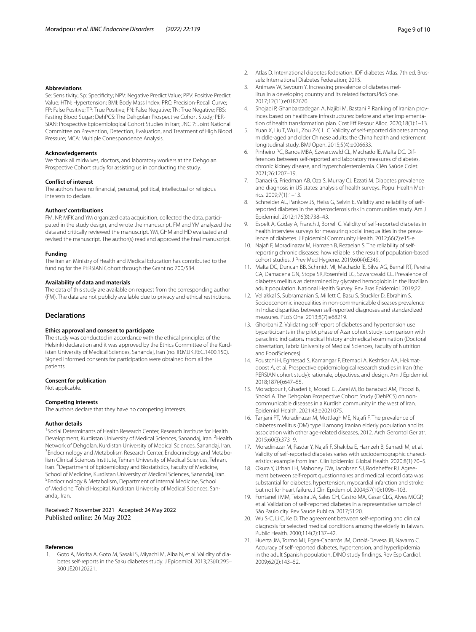#### **Abbreviations**

Se: Sensitivity; Sp: Specifcity; NPV: Negative Predict Value; PPV: Positive Predict Value; HTN: Hypertension; BMI: Body Mass Index; PRC: Precision-Recall Curve; FP: False Positive; TP: True Positive; FN: False Negative; TN: True Negative; FBS: Fasting Blood Sugar; DehPCS: The Dehgolan Prospective Cohort Study; PER‑ SIAN: Prospective Epidemiological Cohort Studies in Iran; JNC 7: Joint National Committee on Prevention, Detection, Evaluation, and Treatment of High Blood Pressure; MCA: Multiple Correspondence Analysis.

#### **Acknowledgements**

We thank all midwives, doctors, and laboratory workers at the Dehgolan Prospective Cohort study for assisting us in conducting the study.

#### **Conflict of interest**

The authors have no fnancial, personal, political, intellectual or religious interests to declare.

#### **Authors' contributions**

FM, NP, MFK and YM organized data acquisition, collected the data, participated in the study design, and wrote the manuscript. FM and YM analyzed the data and critically reviewed the manuscript. YM, GHM and HD evaluated and revised the manuscript. The author(s) read and approved the fnal manuscript.

#### **Funding**

The Iranian Ministry of Health and Medical Education has contributed to the funding for the PERSIAN Cohort through the Grant no 700/534.

## **Availability of data and materials**

The data of this study are available on request from the corresponding author (FM). The data are not publicly available due to privacy and ethical restrictions.

## **Declarations**

## **Ethics approval and consent to participate**

The study was conducted in accordance with the ethical principles of the Helsinki declaration and it was approved by the Ethics Committee of the Kurdistan University of Medical Sciences, Sanandaj, Iran (no. IR.MUK.REC.1400.150). Signed informed consents for participation were obtained from all the patients.

#### **Consent for publication**

Not applicable.

#### **Competing interests**

The authors declare that they have no competing interests.

#### **Author details**

<sup>1</sup> Social Determinants of Health Research Center, Research Institute for Health Development, Kurdistan University of Medical Sciences, Sanandaj, Iran. <sup>2</sup> Health Network of Dehgolan, Kurdistan University of Medical Sciences, Sanandaj, Iran. 3 <sup>3</sup> Endocrinology and Metabolism Research Center, Endocrinology and Metabolism Clinical Sciences Institute, Tehran University of Medical Sciences, Tehran, Iran. <sup>4</sup> Department of Epidemiology and Biostatistics, Faculty of Medicine, School of Medicine, Kurdistan University of Medical Sciences, Sanandaj, Iran. Endocrinology & Metabolism, Department of Internal Medicine, School of Medicine, Tohid Hospital, Kurdistan University of Medical Sciences, Sanandaj, Iran.

## Received: 7 November 2021 Accepted: 24 May 2022 Published online: 26 May 2022

#### **References**

<span id="page-8-0"></span>Goto A, Morita A, Goto M, Sasaki S, Miyachi M, Aiba N, et al. Validity of diabetes self-reports in the Saku diabetes study. J Epidemiol. 2013;23(4):295– 300 JE20120221.

- <span id="page-8-1"></span>2. Atlas D. International diabetes federation. IDF diabetes Atlas. 7th ed. Brussels: International Diabetes Federation; 2015.
- <span id="page-8-2"></span>3. Animaw W, Seyoum Y. Increasing prevalence of diabetes mellitus in a developing country and its related factors.PloS one. 2017;12(11):e0187670.
- <span id="page-8-3"></span>Shojaei P, Ghanbarzadegan A, Najibi M, Bastani P. Ranking of Iranian provinces based on healthcare infrastructures: before and after implementation of health transformation plan. Cost Eff Resour Alloc. 2020;18(1):1-13.
- <span id="page-8-4"></span>Yuan X, Liu T, Wu L, Zou Z-Y, Li C. Validity of self-reported diabetes among middle-aged and older Chinese adults: the China health and retirement longitudinal study. BMJ Open. 2015;5(4):e006633.
- <span id="page-8-5"></span>6. Pinheiro PC, Barros MBA, Szwarcwald CL, Machado ÍE, Malta DC. Dif‑ ferences between self-reported and laboratory measures of diabetes, chronic kidney disease, and hypercholesterolemia. Ciên Saúde Colet. 2021;26:1207–19.
- <span id="page-8-6"></span>7. Danaei G, Friedman AB, Oza S, Murray CJ, Ezzati M. Diabetes prevalence and diagnosis in US states: analysis of health surveys. Popul Health Metrics. 2009;7(1):1–13.
- <span id="page-8-7"></span>8. Schneider AL, Pankow JS, Heiss G, Selvin E. Validity and reliability of selfreported diabetes in the atherosclerosis risk in communities study. Am J Epidemiol. 2012;176(8):738–43.
- <span id="page-8-8"></span>9. Espelt A, Goday A, Franch J, Borrell C. Validity of self-reported diabetes in health interview surveys for measuring social inequalities in the prevalence of diabetes. J Epidemiol Community Health. 2012;66(7):e15-e.
- <span id="page-8-9"></span>10. Najaf F, Moradinazar M, Hamzeh B, Rezaeian S. The reliability of selfreporting chronic diseases: how reliable is the result of population-based cohort studies. J Prev Med Hygiene. 2019;60(4):E349.
- <span id="page-8-10"></span>11. Malta DC, Duncan BB, Schmidt MI, Machado ÍE, Silva AG, Bernal RT, Pereira CA, Damacena GN, Stopa SR,Rosenfeld LG, Szwarcwald CL. Prevalence of diabetes mellitus as determined by glycated hemoglobin in the Brazilian adult population, National Health Survey. Rev Bras Epidemiol. 2019;22.
- <span id="page-8-11"></span>12. Vellakkal S, Subramanian S, Millett C, Basu S, Stuckler D, Ebrahim S. Socioeconomic inequalities in non-communicable diseases prevalence in India: disparities between self-reported diagnoses and standardized measures. PLoS One. 2013;8(7):e68219.
- <span id="page-8-12"></span>13. Ghorbani Z. Validating self-report of diabetes and hypertension use byparticipants in the pilot phase of Azar cohort study: comparison with paraclinic indicators، medical history andmedical examination (Doctoral dissertation, Tabriz University of Medical Sciences, Faculty of Nutrition and FoodSciences).
- <span id="page-8-13"></span>14. Poustchi H, Eghtesad S, Kamangar F, Etemadi A, Keshtkar AA, Hekmatdoost A, et al. Prospective epidemiological research studies in Iran (the PERSIAN cohort study): rationale, objectives, and design. Am J Epidemiol. 2018;187(4):647–55.
- <span id="page-8-14"></span>15. Moradpour F, Ghaderi E, Moradi G, Zarei M, Bolbanabad AM, Piroozi B, Shokri A. The Dehgolan Prospective Cohort Study (DehPCS) on noncommunicable diseases in a Kurdish community in the west of Iran. Epidemiol Health. 2021;43:e2021075.
- <span id="page-8-15"></span>16. Tanjani PT, Moradinazar M, Mottlagh ME, Najaf F. The prevalence of diabetes mellitus (DM) type II among Iranian elderly population and its association with other age-related diseases, 2012. Arch Gerontol Geriatr. 2015;60(3):373–9.
- <span id="page-8-16"></span>17. Moradinazar M, Pasdar Y, Najaf F, Shakiba E, Hamzeh B, Samadi M, et al. Validity of self-reported diabetes varies with sociodemographic charecteristics: example from Iran. Clin Epidemiol Global Health. 2020;8(1):70–5.
- <span id="page-8-17"></span>18. Okura Y, Urban LH, Mahoney DW, Jacobsen SJ, Rodeheffer RJ. Agreement between self-report questionnaires and medical record data was substantial for diabetes, hypertension, myocardial infarction and stroke but not for heart failure. J Clin Epidemiol. 2004;57(10):1096–103.
- <span id="page-8-18"></span>19. Fontanelli MM, Teixeira JA, Sales CH, Castro MA, Cesar CLG, Alves MCGP, et al. Validation of self-reported diabetes in a representative sample of São Paulo city. Rev Saude Publica. 2017;51:20.
- 20. Wu S-C, Li C, Ke D. The agreement between self-reporting and clinical diagnosis for selected medical conditions among the elderly in Taiwan. Public Health. 2000;114(2):137–42.
- <span id="page-8-19"></span>21. Huerta JM, Tormo MJ, Egea-Caparrós JM, Ortolá-Devesa JB, Navarro C. Accuracy of self-reported diabetes, hypertension, and hyperlipidemia in the adult Spanish population. DINO study fndings. Rev Esp Cardiol. 2009;62(2):143–52.